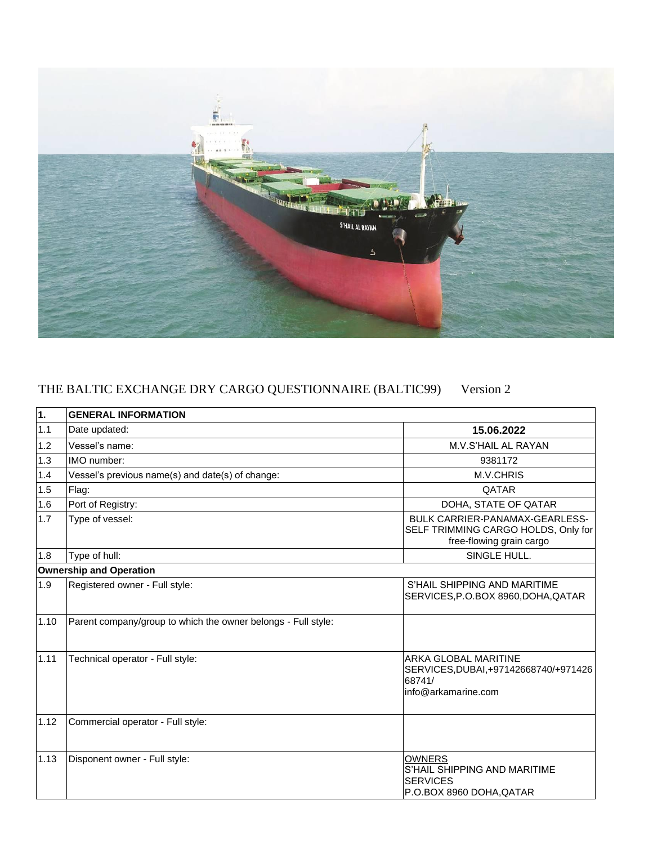

## THE BALTIC EXCHANGE DRY CARGO QUESTIONNAIRE (BALTIC99) Version 2

| 1.   | <b>GENERAL INFORMATION</b>                                    |                                                                                                       |
|------|---------------------------------------------------------------|-------------------------------------------------------------------------------------------------------|
| 1.1  | Date updated:                                                 | 15.06.2022                                                                                            |
| 1.2  | Vessel's name:                                                | M.V.S'HAIL AL RAYAN                                                                                   |
| 1.3  | IMO number:                                                   | 9381172                                                                                               |
| 1.4  | Vessel's previous name(s) and date(s) of change:              | M.V.CHRIS                                                                                             |
| 1.5  | Flag:                                                         | QATAR                                                                                                 |
| 1.6  | Port of Registry:                                             | DOHA, STATE OF QATAR                                                                                  |
| 1.7  | Type of vessel:                                               | BULK CARRIER-PANAMAX-GEARLESS-<br>SELF TRIMMING CARGO HOLDS, Only for<br>free-flowing grain cargo     |
| 1.8  | Type of hull:                                                 | SINGLE HULL.                                                                                          |
|      | <b>Ownership and Operation</b>                                |                                                                                                       |
| 1.9  | Registered owner - Full style:                                | S'HAIL SHIPPING AND MARITIME<br>SERVICES, P.O.BOX 8960, DOHA, QATAR                                   |
| 1.10 | Parent company/group to which the owner belongs - Full style: |                                                                                                       |
| 1.11 | Technical operator - Full style:                              | <b>ARKA GLOBAL MARITINE</b><br>SERVICES, DUBAI, +97142668740/+971426<br>68741/<br>info@arkamarine.com |
| 1.12 | Commercial operator - Full style:                             |                                                                                                       |
| 1.13 | Disponent owner - Full style:                                 | <b>OWNERS</b><br>S'HAIL SHIPPING AND MARITIME<br><b>SERVICES</b><br>P.O.BOX 8960 DOHA, QATAR          |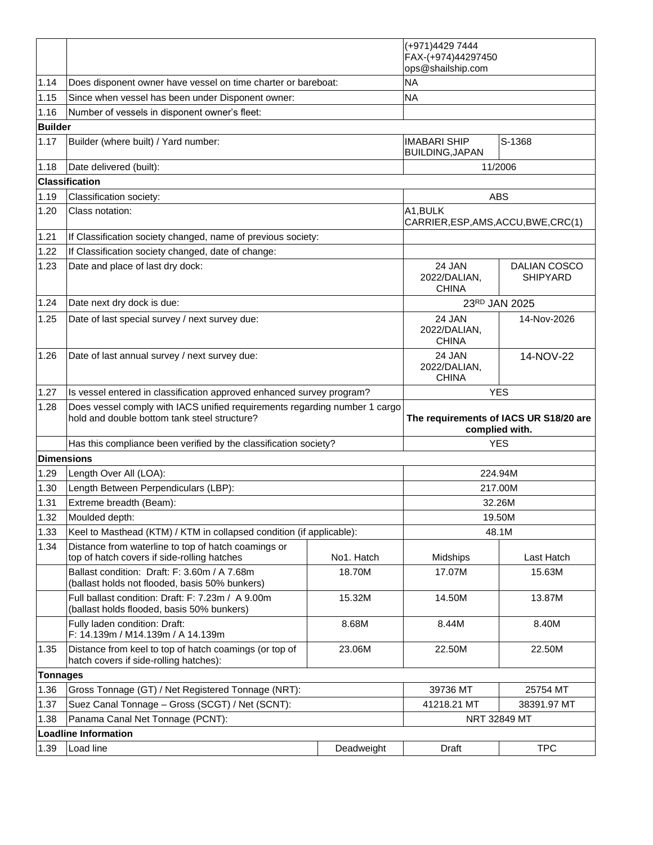|                 |                                                                                                                            |            | (+971)4429 7444                                  |                                                          |  |
|-----------------|----------------------------------------------------------------------------------------------------------------------------|------------|--------------------------------------------------|----------------------------------------------------------|--|
|                 |                                                                                                                            |            | FAX-(+974)44297450<br>ops@shailship.com          |                                                          |  |
| 1.14            | Does disponent owner have vessel on time charter or bareboat:                                                              |            | <b>NA</b>                                        |                                                          |  |
| 1.15            | Since when vessel has been under Disponent owner:                                                                          |            | <b>NA</b>                                        |                                                          |  |
| 1.16            | Number of vessels in disponent owner's fleet:                                                                              |            |                                                  |                                                          |  |
| <b>Builder</b>  |                                                                                                                            |            |                                                  |                                                          |  |
| 1.17            | Builder (where built) / Yard number:                                                                                       |            | <b>IMABARI SHIP</b>                              | S-1368                                                   |  |
|                 |                                                                                                                            |            | <b>BUILDING, JAPAN</b>                           |                                                          |  |
| 1.18            | Date delivered (built):                                                                                                    |            |                                                  | 11/2006                                                  |  |
|                 | <b>Classification</b>                                                                                                      |            |                                                  |                                                          |  |
| 1.19            | Classification society:                                                                                                    |            |                                                  | <b>ABS</b>                                               |  |
| 1.20            | Class notation:                                                                                                            |            | A1, BULK<br>CARRIER, ESP, AMS, ACCU, BWE, CRC(1) |                                                          |  |
| 1.21            | If Classification society changed, name of previous society:                                                               |            |                                                  |                                                          |  |
| 1.22            | If Classification society changed, date of change:                                                                         |            |                                                  |                                                          |  |
| 1.23            | Date and place of last dry dock:                                                                                           |            | 24 JAN<br>2022/DALIAN,<br><b>CHINA</b>           | DALIAN COSCO<br><b>SHIPYARD</b>                          |  |
| 1.24            | Date next dry dock is due:                                                                                                 |            |                                                  | 23RD JAN 2025                                            |  |
| 1.25            | Date of last special survey / next survey due:                                                                             |            | 24 JAN<br>2022/DALIAN,<br><b>CHINA</b>           | 14-Nov-2026                                              |  |
| 1.26            | Date of last annual survey / next survey due:                                                                              |            | 24 JAN<br>2022/DALIAN,<br><b>CHINA</b>           | 14-NOV-22                                                |  |
| 1.27            | Is vessel entered in classification approved enhanced survey program?                                                      |            |                                                  | <b>YES</b>                                               |  |
| 1.28            | Does vessel comply with IACS unified requirements regarding number 1 cargo<br>hold and double bottom tank steel structure? |            |                                                  | The requirements of IACS UR S18/20 are<br>complied with. |  |
|                 | Has this compliance been verified by the classification society?                                                           |            |                                                  | <b>YES</b>                                               |  |
| Dimensions      |                                                                                                                            |            |                                                  |                                                          |  |
| 1.29            | Length Over All (LOA):                                                                                                     |            |                                                  | 224.94M                                                  |  |
| 1.30            | Length Between Perpendiculars (LBP):                                                                                       |            |                                                  | 217.00M                                                  |  |
| 1.31            | Extreme breadth (Beam):                                                                                                    |            |                                                  | 32.26M                                                   |  |
| 1.32            | Moulded depth:                                                                                                             |            | 19.50M                                           |                                                          |  |
| 1.33            | Keel to Masthead (KTM) / KTM in collapsed condition (if applicable):                                                       |            | 48.1M                                            |                                                          |  |
| 1.34            | Distance from waterline to top of hatch coamings or<br>top of hatch covers if side-rolling hatches                         | No1. Hatch | Midships                                         | Last Hatch                                               |  |
|                 | Ballast condition: Draft: F: 3.60m / A 7.68m<br>(ballast holds not flooded, basis 50% bunkers)                             | 18.70M     | 17.07M                                           | 15.63M                                                   |  |
|                 | Full ballast condition: Draft: F: 7.23m / A 9.00m<br>(ballast holds flooded, basis 50% bunkers)                            | 15.32M     | 14.50M                                           | 13.87M                                                   |  |
|                 | Fully laden condition: Draft:<br>F: 14.139m / M14.139m / A 14.139m                                                         | 8.68M      | 8.44M                                            | 8.40M                                                    |  |
| 1.35            | Distance from keel to top of hatch coamings (or top of<br>hatch covers if side-rolling hatches):                           | 23.06M     | 22.50M                                           | 22.50M                                                   |  |
| <b>Tonnages</b> |                                                                                                                            |            |                                                  |                                                          |  |
| 1.36            |                                                                                                                            |            | 39736 MT                                         | 25754 MT                                                 |  |
|                 | Gross Tonnage (GT) / Net Registered Tonnage (NRT):                                                                         |            |                                                  |                                                          |  |
| 1.37            | Suez Canal Tonnage - Gross (SCGT) / Net (SCNT):                                                                            |            | 41218.21 MT                                      | 38391.97 MT                                              |  |
| 1.38            | Panama Canal Net Tonnage (PCNT):                                                                                           |            |                                                  | NRT 32849 MT                                             |  |
| 1.39            | <b>Loadline Information</b><br>Load line                                                                                   |            |                                                  | <b>TPC</b>                                               |  |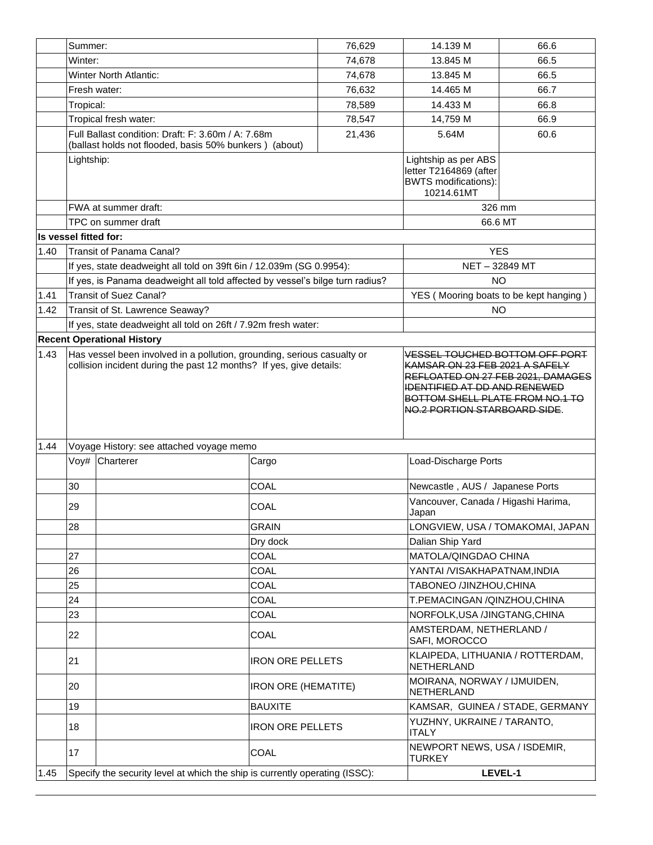|      | Summer:                                                             |                                                                               |                                                                                                                                             | 76,629 | 14.139 M                                                                                    | 66.6                             |
|------|---------------------------------------------------------------------|-------------------------------------------------------------------------------|---------------------------------------------------------------------------------------------------------------------------------------------|--------|---------------------------------------------------------------------------------------------|----------------------------------|
|      | Winter:                                                             |                                                                               |                                                                                                                                             | 74,678 | 13.845 M                                                                                    | 66.5                             |
|      |                                                                     | <b>Winter North Atlantic:</b>                                                 |                                                                                                                                             | 74,678 | 13.845 M                                                                                    | 66.5                             |
|      |                                                                     | Fresh water:                                                                  |                                                                                                                                             | 76,632 | 14.465 M                                                                                    | 66.7                             |
|      | Tropical:                                                           |                                                                               |                                                                                                                                             | 78,589 | 14.433 M                                                                                    | 66.8                             |
|      |                                                                     | Tropical fresh water:                                                         |                                                                                                                                             | 78,547 | 14,759 M                                                                                    | 66.9                             |
|      |                                                                     | Full Ballast condition: Draft: F: 3.60m / A: 7.68m                            |                                                                                                                                             |        |                                                                                             |                                  |
|      |                                                                     | (ballast holds not flooded, basis 50% bunkers) (about)                        |                                                                                                                                             | 21,436 | 5.64M                                                                                       | 60.6                             |
|      | Lightship:                                                          |                                                                               |                                                                                                                                             |        | Lightship as per ABS<br>letter T2164869 (after<br><b>BWTS</b> modifications):<br>10214.61MT |                                  |
|      |                                                                     | FWA at summer draft:                                                          |                                                                                                                                             |        | 326 mm                                                                                      |                                  |
|      |                                                                     | TPC on summer draft                                                           |                                                                                                                                             |        | 66.6 MT                                                                                     |                                  |
|      | Is vessel fitted for:                                               |                                                                               |                                                                                                                                             |        |                                                                                             |                                  |
| 1.40 |                                                                     | Transit of Panama Canal?                                                      |                                                                                                                                             |        | <b>YES</b>                                                                                  |                                  |
|      |                                                                     | If yes, state deadweight all told on 39ft 6in / 12.039m (SG 0.9954):          |                                                                                                                                             |        | NET-32849 MT                                                                                |                                  |
|      |                                                                     | If yes, is Panama deadweight all told affected by vessel's bilge turn radius? |                                                                                                                                             |        | <b>NO</b>                                                                                   |                                  |
| 1.41 |                                                                     | <b>Transit of Suez Canal?</b>                                                 |                                                                                                                                             |        | YES (Mooring boats to be kept hanging)                                                      |                                  |
| 1.42 |                                                                     | Transit of St. Lawrence Seaway?                                               |                                                                                                                                             |        | <b>NO</b>                                                                                   |                                  |
|      |                                                                     | If yes, state deadweight all told on 26ft / 7.92m fresh water:                |                                                                                                                                             |        |                                                                                             |                                  |
|      |                                                                     | <b>Recent Operational History</b>                                             |                                                                                                                                             |        |                                                                                             |                                  |
|      | collision incident during the past 12 months? If yes, give details: |                                                                               | REFLOATED ON 27 FEB 2021, DAMAGES<br><b>IDENTIFIED AT DD AND RENEWED</b><br>BOTTOM SHELL PLATE FROM NO.1 TO<br>NO.2 PORTION STARBOARD SIDE. |        |                                                                                             |                                  |
| 1.44 | Voyage History: see attached voyage memo                            |                                                                               |                                                                                                                                             |        |                                                                                             |                                  |
|      | Voy#                                                                | Charterer                                                                     | Cargo                                                                                                                                       |        | Load-Discharge Ports                                                                        |                                  |
|      | 30                                                                  |                                                                               | COAL                                                                                                                                        |        | Newcastle, AUS / Japanese Ports                                                             |                                  |
|      | 29                                                                  |                                                                               | COAL                                                                                                                                        |        | Vancouver, Canada / Higashi Harima,<br>Japan                                                |                                  |
|      | 28                                                                  |                                                                               | <b>GRAIN</b>                                                                                                                                |        |                                                                                             | LONGVIEW, USA / TOMAKOMAI, JAPAN |
|      |                                                                     |                                                                               | Dry dock                                                                                                                                    |        | Dalian Ship Yard                                                                            |                                  |
|      | 27                                                                  |                                                                               | COAL                                                                                                                                        |        | MATOLA/QINGDAO CHINA                                                                        |                                  |
|      | 26                                                                  |                                                                               | COAL                                                                                                                                        |        | YANTAI /VISAKHAPATNAM,INDIA                                                                 |                                  |
|      | 25                                                                  |                                                                               | COAL                                                                                                                                        |        | TABONEO /JINZHOU, CHINA                                                                     |                                  |
|      | 24                                                                  |                                                                               | COAL                                                                                                                                        |        | T.PEMACINGAN / QINZHOU, CHINA                                                               |                                  |
|      | 23                                                                  |                                                                               | COAL                                                                                                                                        |        | NORFOLK, USA /JINGTANG, CHINA                                                               |                                  |
|      | 22                                                                  |                                                                               | COAL                                                                                                                                        |        | AMSTERDAM, NETHERLAND /<br>SAFI, MOROCCO                                                    |                                  |
|      | 21                                                                  |                                                                               | <b>IRON ORE PELLETS</b>                                                                                                                     |        | KLAIPEDA, LITHUANIA / ROTTERDAM,<br>NETHERLAND                                              |                                  |
|      | 20                                                                  |                                                                               | <b>IRON ORE (HEMATITE)</b>                                                                                                                  |        | MOIRANA, NORWAY / IJMUIDEN,<br>NETHERLAND                                                   |                                  |
|      | 19                                                                  |                                                                               | <b>BAUXITE</b>                                                                                                                              |        | KAMSAR, GUINEA / STADE, GERMANY                                                             |                                  |
|      | 18                                                                  |                                                                               | <b>IRON ORE PELLETS</b>                                                                                                                     |        | YUZHNY, UKRAINE / TARANTO,<br><b>ITALY</b>                                                  |                                  |
|      | 17                                                                  |                                                                               | COAL                                                                                                                                        |        | NEWPORT NEWS, USA / ISDEMIR,<br><b>TURKEY</b>                                               |                                  |
| 1.45 |                                                                     | Specify the security level at which the ship is currently operating (ISSC):   |                                                                                                                                             |        |                                                                                             | LEVEL-1                          |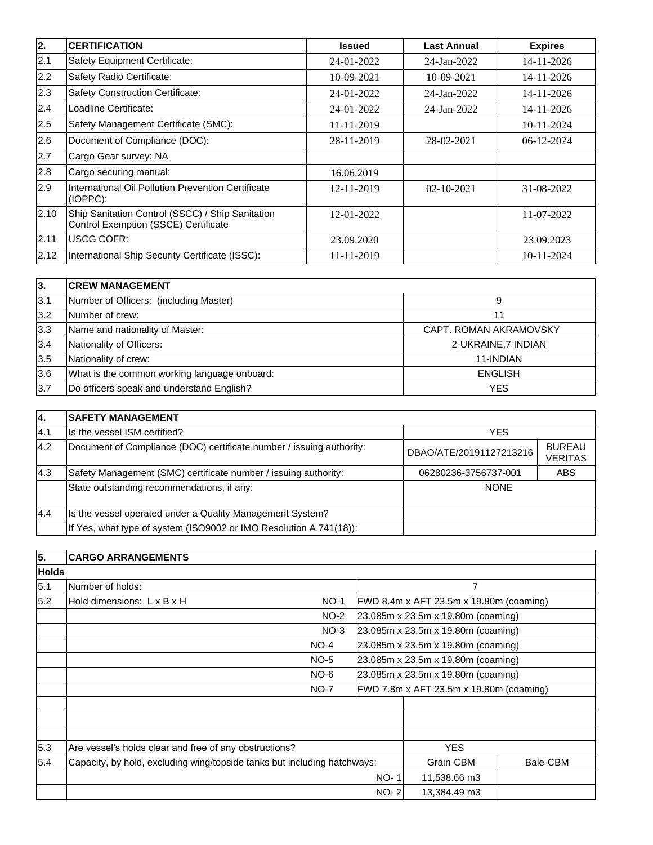| 2.   | <b>CERTIFICATION</b>                                                                     | <b>Issued</b> | <b>Last Annual</b> | <b>Expires</b> |
|------|------------------------------------------------------------------------------------------|---------------|--------------------|----------------|
| 2.1  | Safety Equipment Certificate:                                                            | 24-01-2022    | 24-Jan-2022        | 14-11-2026     |
| 2.2  | Safety Radio Certificate:                                                                | 10-09-2021    | 10-09-2021         | 14-11-2026     |
| 2.3  | Safety Construction Certificate:                                                         | 24-01-2022    | 24-Jan-2022        | 14-11-2026     |
| 2.4  | Loadline Certificate:                                                                    | 24-01-2022    | 24-Jan-2022        | 14-11-2026     |
| 2.5  | Safety Management Certificate (SMC):                                                     | 11-11-2019    |                    | $10-11-2024$   |
| 2.6  | Document of Compliance (DOC):                                                            | 28-11-2019    | 28-02-2021         | 06-12-2024     |
| 2.7  | Cargo Gear survey: NA                                                                    |               |                    |                |
| 2.8  | Cargo securing manual:                                                                   | 16.06.2019    |                    |                |
| 2.9  | International Oil Pollution Prevention Certificate<br>(IOPPC):                           | 12-11-2019    | $02 - 10 - 2021$   | 31-08-2022     |
| 2.10 | Ship Sanitation Control (SSCC) / Ship Sanitation<br>Control Exemption (SSCE) Certificate | 12-01-2022    |                    | 11-07-2022     |
| 2.11 | <b>USCG COFR:</b>                                                                        | 23.09.2020    |                    | 23.09.2023     |
| 2.12 | International Ship Security Certificate (ISSC):                                          | 11-11-2019    |                    | 10-11-2024     |

| 3.  | <b>ICREW MANAGEMENT</b>                      |                        |
|-----|----------------------------------------------|------------------------|
| 3.1 | Number of Officers: (including Master)       | 9                      |
| 3.2 | Number of crew:                              |                        |
| 3.3 | Name and nationality of Master:              | CAPT. ROMAN AKRAMOVSKY |
| 3.4 | Nationality of Officers:                     | 2-UKRAINE, 7 INDIAN    |
| 3.5 | Nationality of crew:                         | 11-INDIAN              |
| 3.6 | What is the common working language onboard: | <b>ENGLISH</b>         |
| 3.7 | Do officers speak and understand English?    | <b>YES</b>             |

| 14. | <b>ISAFETY MANAGEMENT</b>                                            |                         |                                 |
|-----|----------------------------------------------------------------------|-------------------------|---------------------------------|
| 4.1 | Is the vessel ISM certified?                                         | <b>YES</b>              |                                 |
| 4.2 | Document of Compliance (DOC) certificate number / issuing authority: | DBAO/ATE/20191127213216 | <b>BUREAU</b><br><b>VERITAS</b> |
| 4.3 | Safety Management (SMC) certificate number / issuing authority:      | 06280236-3756737-001    | <b>ABS</b>                      |
|     | State outstanding recommendations, if any:                           | <b>NONE</b>             |                                 |
| 4.4 | Is the vessel operated under a Quality Management System?            |                         |                                 |
|     | If Yes, what type of system (ISO9002 or IMO Resolution A.741(18)):   |                         |                                 |

| $\overline{5}$ . | <b>CARGO ARRANGEMENTS</b>                                                |                                         |                                         |          |
|------------------|--------------------------------------------------------------------------|-----------------------------------------|-----------------------------------------|----------|
| <b>Holds</b>     |                                                                          |                                         |                                         |          |
| 5.1              | Number of holds:                                                         |                                         | $\overline{7}$                          |          |
| 5.2              | Hold dimensions: L x B x H<br>$NO-1$                                     |                                         | FWD 8.4m x AFT 23.5m x 19.80m (coaming) |          |
|                  | $NO-2$                                                                   |                                         | 23.085m x 23.5m x 19.80m (coaming)      |          |
|                  | $NO-3$                                                                   |                                         | 23.085m x 23.5m x 19.80m (coaming)      |          |
|                  | $NO-4$                                                                   |                                         | 23.085m x 23.5m x 19.80m (coaming)      |          |
|                  | $NO-5$                                                                   |                                         | 23.085m x 23.5m x 19.80m (coaming)      |          |
|                  | $NO-6$                                                                   | 23.085m x 23.5m x 19.80m (coaming)      |                                         |          |
|                  | $NO-7$                                                                   | FWD 7.8m x AFT 23.5m x 19.80m (coaming) |                                         |          |
|                  |                                                                          |                                         |                                         |          |
|                  |                                                                          |                                         |                                         |          |
|                  |                                                                          |                                         |                                         |          |
| 5.3              | Are vessel's holds clear and free of any obstructions?                   |                                         | <b>YES</b>                              |          |
| 5.4              | Capacity, by hold, excluding wing/topside tanks but including hatchways: |                                         | Grain-CBM                               | Bale-CBM |
|                  |                                                                          | <b>NO-1</b>                             | 11,538.66 m3                            |          |
|                  |                                                                          | $NO-2$                                  | 13,384.49 m3                            |          |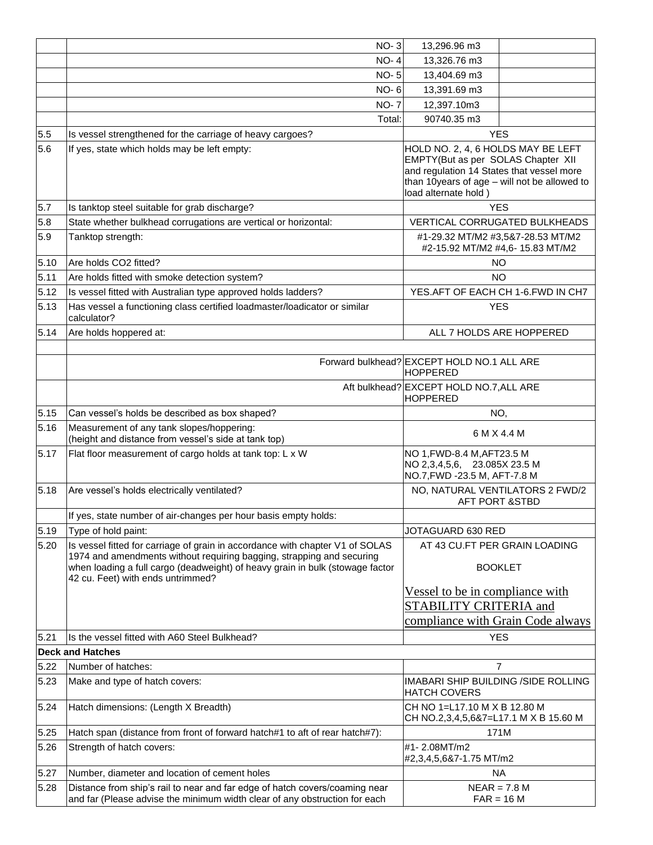|                      | <b>NO-3</b>                                                                                                                                                                                                                                                                  | 13,296.96 m3                                                                                                                                                                                  |                                                                       |
|----------------------|------------------------------------------------------------------------------------------------------------------------------------------------------------------------------------------------------------------------------------------------------------------------------|-----------------------------------------------------------------------------------------------------------------------------------------------------------------------------------------------|-----------------------------------------------------------------------|
|                      | <b>NO-4</b>                                                                                                                                                                                                                                                                  | 13,326.76 m3                                                                                                                                                                                  |                                                                       |
|                      | <b>NO-5</b>                                                                                                                                                                                                                                                                  | 13,404.69 m3                                                                                                                                                                                  |                                                                       |
|                      | <b>NO-6</b>                                                                                                                                                                                                                                                                  | 13,391.69 m3                                                                                                                                                                                  |                                                                       |
|                      | <b>NO-7</b>                                                                                                                                                                                                                                                                  | 12,397.10m3                                                                                                                                                                                   |                                                                       |
|                      | Total:                                                                                                                                                                                                                                                                       | 90740.35 m3                                                                                                                                                                                   |                                                                       |
| 5.5                  | Is vessel strengthened for the carriage of heavy cargoes?                                                                                                                                                                                                                    |                                                                                                                                                                                               | <b>YES</b>                                                            |
| 5.6                  | If yes, state which holds may be left empty:                                                                                                                                                                                                                                 | HOLD NO. 2, 4, 6 HOLDS MAY BE LEFT<br>EMPTY(But as per SOLAS Chapter XII<br>and regulation 14 States that vessel more<br>than 10years of age - will not be allowed to<br>load alternate hold) |                                                                       |
| 5.7                  | Is tanktop steel suitable for grab discharge?                                                                                                                                                                                                                                |                                                                                                                                                                                               | <b>YES</b>                                                            |
| 5.8                  | State whether bulkhead corrugations are vertical or horizontal:                                                                                                                                                                                                              |                                                                                                                                                                                               | VERTICAL CORRUGATED BULKHEADS                                         |
| 5.9                  | Tanktop strength:                                                                                                                                                                                                                                                            |                                                                                                                                                                                               | #1-29.32 MT/M2 #3,5&7-28.53 MT/M2<br>#2-15.92 MT/M2 #4,6- 15.83 MT/M2 |
| 5.10                 | Are holds CO2 fitted?                                                                                                                                                                                                                                                        |                                                                                                                                                                                               | <b>NO</b>                                                             |
| 5.11                 | Are holds fitted with smoke detection system?                                                                                                                                                                                                                                |                                                                                                                                                                                               | NO.                                                                   |
| 5.12                 | Is vessel fitted with Australian type approved holds ladders?                                                                                                                                                                                                                |                                                                                                                                                                                               | YES.AFT OF EACH CH 1-6.FWD IN CH7                                     |
| 5.13                 | Has vessel a functioning class certified loadmaster/loadicator or similar<br>calculator?                                                                                                                                                                                     |                                                                                                                                                                                               | <b>YES</b>                                                            |
| 5.14                 | Are holds hoppered at:                                                                                                                                                                                                                                                       | ALL 7 HOLDS ARE HOPPERED                                                                                                                                                                      |                                                                       |
|                      |                                                                                                                                                                                                                                                                              |                                                                                                                                                                                               |                                                                       |
|                      |                                                                                                                                                                                                                                                                              | Forward bulkhead? EXCEPT HOLD NO.1 ALL ARE<br><b>HOPPERED</b>                                                                                                                                 |                                                                       |
|                      |                                                                                                                                                                                                                                                                              | Aft bulkhead? EXCEPT HOLD NO.7, ALL ARE<br><b>HOPPERED</b>                                                                                                                                    |                                                                       |
| 5.15                 | Can vessel's holds be described as box shaped?                                                                                                                                                                                                                               | NO.                                                                                                                                                                                           |                                                                       |
| 5.16                 | Measurement of any tank slopes/hoppering:<br>(height and distance from vessel's side at tank top)                                                                                                                                                                            |                                                                                                                                                                                               | 6 M X 4.4 M                                                           |
| 5.17                 | Flat floor measurement of cargo holds at tank top: L x W                                                                                                                                                                                                                     | NO 1, FWD-8.4 M, AFT23.5 M<br>NO 2,3,4,5,6, 23.085X 23.5 M<br>NO.7, FWD -23.5 M, AFT-7.8 M                                                                                                    |                                                                       |
| 5.18                 | Are vessel's holds electrically ventilated?                                                                                                                                                                                                                                  | NO, NATURAL VENTILATORS 2 FWD/2<br><b>AFT PORT &amp;STBD</b>                                                                                                                                  |                                                                       |
|                      | If yes, state number of air-changes per hour basis empty holds:                                                                                                                                                                                                              |                                                                                                                                                                                               |                                                                       |
| 5.19                 | Type of hold paint:                                                                                                                                                                                                                                                          | JOTAGUARD 630 RED                                                                                                                                                                             |                                                                       |
| 5.20                 | Is vessel fitted for carriage of grain in accordance with chapter V1 of SOLAS<br>1974 and amendments without requiring bagging, strapping and securing<br>when loading a full cargo (deadweight) of heavy grain in bulk (stowage factor<br>42 cu. Feet) with ends untrimmed? |                                                                                                                                                                                               | AT 43 CU.FT PER GRAIN LOADING<br><b>BOOKLET</b>                       |
|                      |                                                                                                                                                                                                                                                                              | Vessel to be in compliance with<br>STABILITY CRITERIA and<br>compliance with Grain Code always                                                                                                |                                                                       |
| 5.21                 | Is the vessel fitted with A60 Steel Bulkhead?                                                                                                                                                                                                                                |                                                                                                                                                                                               | <b>YES</b>                                                            |
|                      |                                                                                                                                                                                                                                                                              |                                                                                                                                                                                               |                                                                       |
| 5.22                 | <b>Deck and Hatches</b>                                                                                                                                                                                                                                                      |                                                                                                                                                                                               |                                                                       |
|                      | Number of hatches:                                                                                                                                                                                                                                                           |                                                                                                                                                                                               | 7                                                                     |
| 5.23                 | Make and type of hatch covers:                                                                                                                                                                                                                                               | IMABARI SHIP BUILDING /SIDE ROLLING<br><b>HATCH COVERS</b>                                                                                                                                    |                                                                       |
|                      | Hatch dimensions: (Length X Breadth)                                                                                                                                                                                                                                         | CH NO 1=L17.10 M X B 12.80 M<br>CH NO.2,3,4,5,6&7=L17.1 M X B 15.60 M                                                                                                                         |                                                                       |
|                      | Hatch span (distance from front of forward hatch#1 to aft of rear hatch#7):                                                                                                                                                                                                  |                                                                                                                                                                                               | 171M                                                                  |
| 5.24<br>5.25<br>5.26 | Strength of hatch covers:                                                                                                                                                                                                                                                    | #1-2.08MT/m2<br>#2,3,4,5,6&7-1.75 MT/m2                                                                                                                                                       |                                                                       |
| 5.27                 | Number, diameter and location of cement holes                                                                                                                                                                                                                                | <b>NA</b>                                                                                                                                                                                     |                                                                       |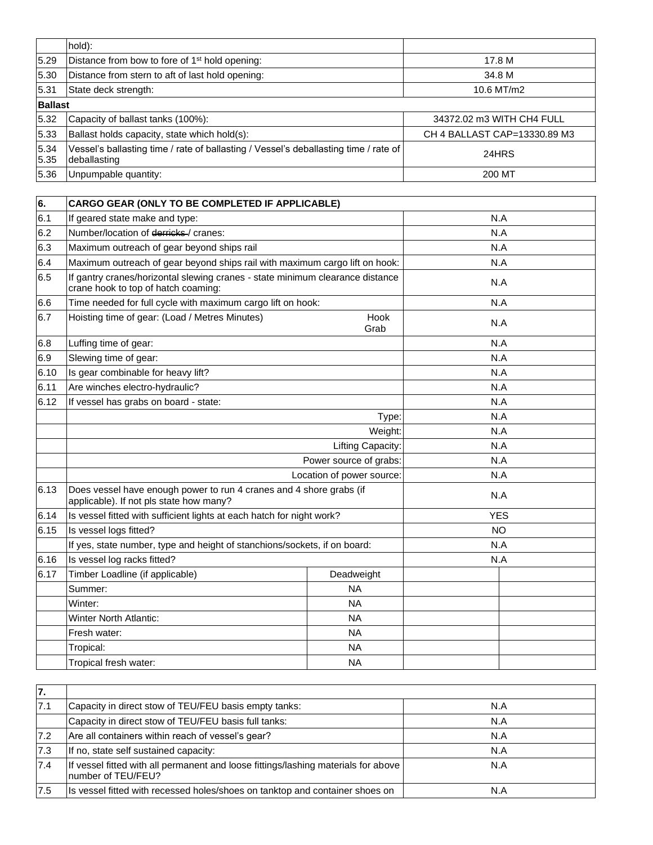|                | hold):                                                                                               |                              |  |
|----------------|------------------------------------------------------------------------------------------------------|------------------------------|--|
| 5.29           | Distance from bow to fore of 1 <sup>st</sup> hold opening:                                           | 17.8 M                       |  |
| 5.30           | Distance from stern to aft of last hold opening:                                                     | 34.8 M                       |  |
| 5.31           | State deck strength:<br>10.6 MT/m2                                                                   |                              |  |
| <b>Ballast</b> |                                                                                                      |                              |  |
| 5.32           | Capacity of ballast tanks (100%):                                                                    | 34372.02 m3 WITH CH4 FULL    |  |
| 5.33           | Ballast holds capacity, state which hold(s):                                                         | CH 4 BALLAST CAP=13330.89 M3 |  |
| 5.34<br>5.35   | Vessel's ballasting time / rate of ballasting / Vessel's deballasting time / rate of<br>deballasting | 24HRS                        |  |
| 5.36           | Unpumpable quantity:                                                                                 | 200 MT                       |  |

| 6.   | CARGO GEAR (ONLY TO BE COMPLETED IF APPLICABLE)                                                                      |              |            |  |  |
|------|----------------------------------------------------------------------------------------------------------------------|--------------|------------|--|--|
| 6.1  | If geared state make and type:<br>N.A                                                                                |              |            |  |  |
| 6.2  | Number/location of derricks / cranes:                                                                                |              | N.A        |  |  |
| 6.3  | Maximum outreach of gear beyond ships rail                                                                           |              | N.A        |  |  |
| 6.4  | Maximum outreach of gear beyond ships rail with maximum cargo lift on hook:                                          |              | N.A        |  |  |
| 6.5  | If gantry cranes/horizontal slewing cranes - state minimum clearance distance<br>crane hook to top of hatch coaming: |              | N.A        |  |  |
| 6.6  | Time needed for full cycle with maximum cargo lift on hook:                                                          |              | N.A        |  |  |
| 6.7  | Hoisting time of gear: (Load / Metres Minutes)                                                                       | Hook<br>Grab | N.A        |  |  |
| 6.8  | Luffing time of gear:                                                                                                |              | N.A        |  |  |
| 6.9  | Slewing time of gear:                                                                                                |              | N.A        |  |  |
| 6.10 | Is gear combinable for heavy lift?                                                                                   |              | N.A        |  |  |
| 6.11 | Are winches electro-hydraulic?                                                                                       |              | N.A        |  |  |
| 6.12 | If vessel has grabs on board - state:                                                                                |              | N.A        |  |  |
|      |                                                                                                                      | N.A          |            |  |  |
|      |                                                                                                                      | N.A          |            |  |  |
|      | Lifting Capacity:<br>Power source of grabs:                                                                          |              | N.A        |  |  |
|      |                                                                                                                      |              | N.A        |  |  |
|      | Location of power source:                                                                                            | N.A          |            |  |  |
| 6.13 | Does vessel have enough power to run 4 cranes and 4 shore grabs (if<br>applicable). If not pls state how many?       |              | N.A        |  |  |
| 6.14 | Is vessel fitted with sufficient lights at each hatch for night work?                                                |              | <b>YES</b> |  |  |
| 6.15 | Is vessel logs fitted?                                                                                               |              | <b>NO</b>  |  |  |
|      | If yes, state number, type and height of stanchions/sockets, if on board:                                            |              | N.A        |  |  |
| 6.16 | Is vessel log racks fitted?                                                                                          |              | N.A        |  |  |
| 6.17 | Timber Loadline (if applicable)                                                                                      | Deadweight   |            |  |  |
|      | Summer:                                                                                                              | <b>NA</b>    |            |  |  |
|      | Winter:                                                                                                              | <b>NA</b>    |            |  |  |
|      | <b>Winter North Atlantic:</b>                                                                                        | <b>NA</b>    |            |  |  |
|      | Fresh water:                                                                                                         | <b>NA</b>    |            |  |  |
|      | Tropical:                                                                                                            | <b>NA</b>    |            |  |  |
|      | Tropical fresh water:                                                                                                | <b>NA</b>    |            |  |  |

| 7.  |                                                                                                           |     |
|-----|-----------------------------------------------------------------------------------------------------------|-----|
| 7.1 | Capacity in direct stow of TEU/FEU basis empty tanks:                                                     | N.A |
|     | Capacity in direct stow of TEU/FEU basis full tanks:                                                      | N.A |
| 7.2 | Are all containers within reach of vessel's gear?                                                         | N.A |
| 7.3 | If no, state self sustained capacity:                                                                     | N.A |
| 7.4 | If vessel fitted with all permanent and loose fittings/lashing materials for above<br>Inumber of TEU/FEU? | N.A |
| 7.5 | Is vessel fitted with recessed holes/shoes on tanktop and container shoes on                              | N.A |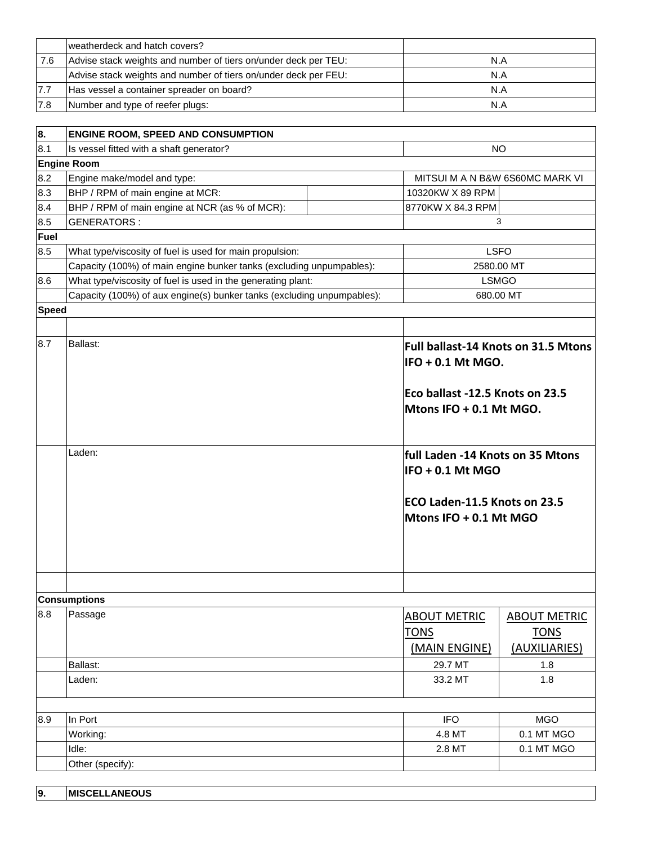|     | weatherdeck and hatch covers?                                   |     |
|-----|-----------------------------------------------------------------|-----|
| 7.6 | Advise stack weights and number of tiers on/under deck per TEU: | N.A |
|     | Advise stack weights and number of tiers on/under deck per FEU: | N.A |
| 7.7 | Has vessel a container spreader on board?                       | N.A |
| 7.8 | Number and type of reefer plugs:                                | N.A |
|     |                                                                 |     |

| 8.                  | <b>ENGINE ROOM, SPEED AND CONSUMPTION</b>                              |  |                                                                 |              |  |  |
|---------------------|------------------------------------------------------------------------|--|-----------------------------------------------------------------|--------------|--|--|
| 8.1                 | Is vessel fitted with a shaft generator?                               |  | NO.                                                             |              |  |  |
|                     | <b>Engine Room</b>                                                     |  |                                                                 |              |  |  |
| 8.2                 | Engine make/model and type:                                            |  | MITSUI M A N B&W 6S60MC MARK VI                                 |              |  |  |
| 8.3                 | BHP / RPM of main engine at MCR:                                       |  | 10320KW X 89 RPM                                                |              |  |  |
| 8.4                 | BHP / RPM of main engine at NCR (as % of MCR):                         |  | 8770KW X 84.3 RPM                                               |              |  |  |
| 8.5                 | <b>GENERATORS:</b>                                                     |  | 3                                                               |              |  |  |
| Fuel                |                                                                        |  |                                                                 |              |  |  |
| 8.5                 | What type/viscosity of fuel is used for main propulsion:               |  | <b>LSFO</b>                                                     |              |  |  |
|                     | Capacity (100%) of main engine bunker tanks (excluding unpumpables):   |  | 2580.00 MT                                                      |              |  |  |
| 8.6                 | What type/viscosity of fuel is used in the generating plant:           |  | <b>LSMGO</b>                                                    |              |  |  |
|                     | Capacity (100%) of aux engine(s) bunker tanks (excluding unpumpables): |  |                                                                 | 680.00 MT    |  |  |
| <b>Speed</b>        |                                                                        |  |                                                                 |              |  |  |
|                     |                                                                        |  |                                                                 |              |  |  |
| 8.7                 | Ballast:                                                               |  | <b>Full ballast-14 Knots on 31.5 Mtons</b><br>IFO + 0.1 Mt MGO. |              |  |  |
|                     |                                                                        |  | Eco ballast -12.5 Knots on 23.5<br>Mtons IFO + 0.1 Mt MGO.      |              |  |  |
|                     | Laden:                                                                 |  | full Laden -14 Knots on 35 Mtons<br>IFO + 0.1 Mt MGO            |              |  |  |
|                     |                                                                        |  | ECO Laden-11.5 Knots on 23.5<br>Mtons IFO + 0.1 Mt MGO          |              |  |  |
|                     |                                                                        |  |                                                                 |              |  |  |
| <b>Consumptions</b> |                                                                        |  |                                                                 |              |  |  |
| 8.8                 | Passage                                                                |  | AROUT METRIC                                                    | AROUT METRIC |  |  |

| 8.8 | Passage          | <b>ABOUT METRIC</b> | <b>ABOUT METRIC</b> |
|-----|------------------|---------------------|---------------------|
|     |                  | <b>TONS</b>         | <b>TONS</b>         |
|     |                  | (MAIN ENGINE)       | (AUXILIARIES)       |
|     | <b>Ballast:</b>  | 29.7 MT             | 1.8                 |
|     | Laden:           | 33.2 MT             | 1.8                 |
|     |                  |                     |                     |
| 8.9 | In Port          | <b>IFO</b>          | <b>MGO</b>          |
|     | Working:         | 4.8 MT              | 0.1 MT MGO          |
|     | Idle:            | 2.8 MT              | 0.1 MT MGO          |
|     | Other (specify): |                     |                     |